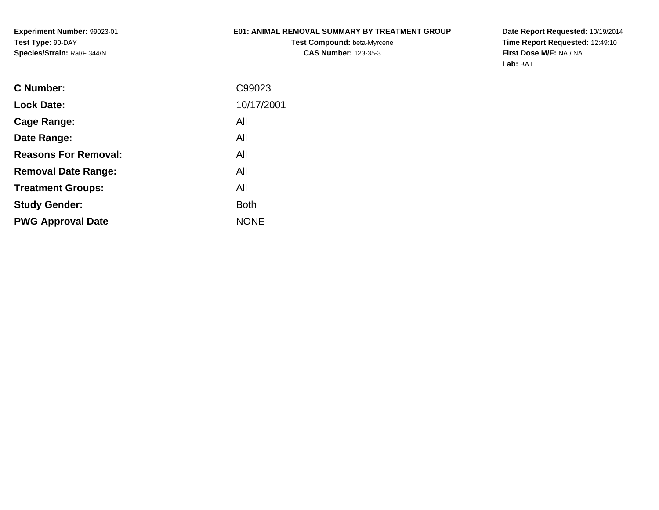**Experiment Number:** 99023-01**Test Type:** 90-DAY**Species/Strain:** Rat/F 344/N

### **E01: ANIMAL REMOVAL SUMMARY BY TREATMENT GROUP**

**Test Compound:** beta-Myrcene**CAS Number:** 123-35-3

**Date Report Requested:** 10/19/2014 **Time Report Requested:** 12:49:10**First Dose M/F:** NA / NA**Lab:** BAT

| <b>C</b> Number:            | C99023      |
|-----------------------------|-------------|
| <b>Lock Date:</b>           | 10/17/2001  |
| Cage Range:                 | All         |
| Date Range:                 | All         |
| <b>Reasons For Removal:</b> | All         |
| <b>Removal Date Range:</b>  | All         |
| <b>Treatment Groups:</b>    | All         |
| <b>Study Gender:</b>        | <b>Both</b> |
| <b>PWG Approval Date</b>    | <b>NONE</b> |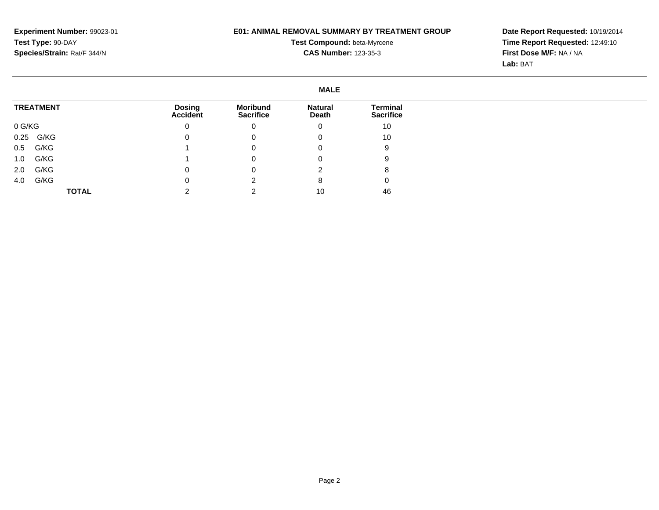# **E01: ANIMAL REMOVAL SUMMARY BY TREATMENT GROUP**

**Test Compound:** beta-Myrcene**CAS Number:** 123-35-3

**Date Report Requested:** 10/19/2014 **Time Report Requested:** 12:49:10**First Dose M/F:** NA / NA**Lab:** BAT

#### **MALETREATMENT**0 G/KG 0.25 G/KG 0.5 G/KG 1.0 G/KG 2.0 G/KG 4.0 G/KG**TOTALDosing Accident**0 $\overline{0}$  1 1 $\overline{0}$  $\overline{0}$  2**Moribund Sacrifice**0 0 0 0 0 2 2**Natural Death**0 0 0 0 2 8 10**Terminal Sacrifice**10 10 9 9 8 $\overline{0}$ 46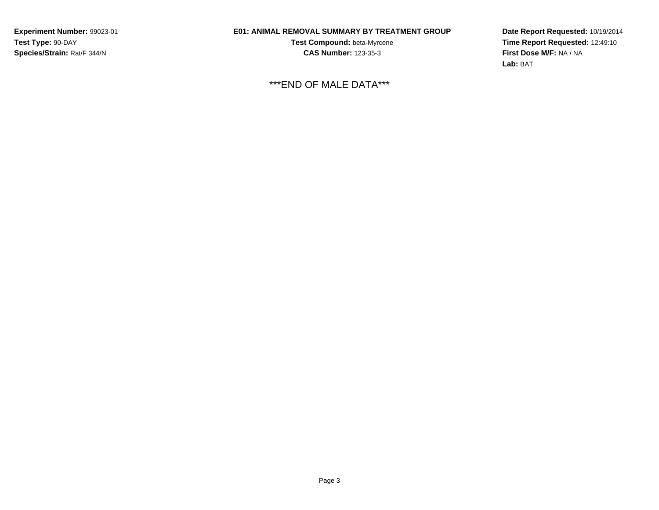**Experiment Number:** 99023-01**Test Type:** 90-DAY**Species/Strain:** Rat/F 344/N

# **E01: ANIMAL REMOVAL SUMMARY BY TREATMENT GROUP**

**Test Compound:** beta-Myrcene**CAS Number:** 123-35-3

\*\*\*END OF MALE DATA\*\*\*

**Date Report Requested:** 10/19/2014**Time Report Requested:** 12:49:10**First Dose M/F:** NA / NA**Lab:** BAT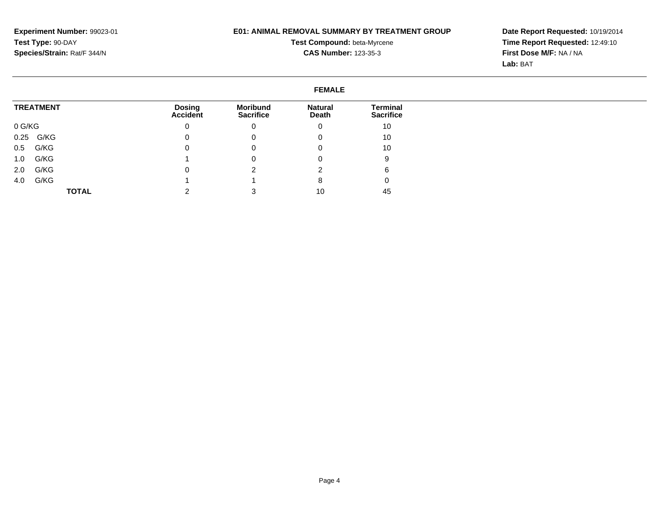# **E01: ANIMAL REMOVAL SUMMARY BY TREATMENT GROUP**

**Test Compound:** beta-Myrcene**CAS Number:** 123-35-3

**Date Report Requested:** 10/19/2014 **Time Report Requested:** 12:49:10**First Dose M/F:** NA / NA**Lab:** BAT

#### **FEMALETREATMENT**0 G/KG 0.25 G/KG 0.5 G/KG 1.0 G/KG 2.0 G/KG 4.0 G/KG**TOTALDosing Accident**0 $\overline{0}$  $\overline{0}$  1 $\overline{0}$  1 2**Moribund Sacrifice**0 0 0 0 2 1 3**Natural Death**0 0 0 0 2 8 10**Terminal Sacrifice**10 10 10 9 6 $\overline{0}$ 45